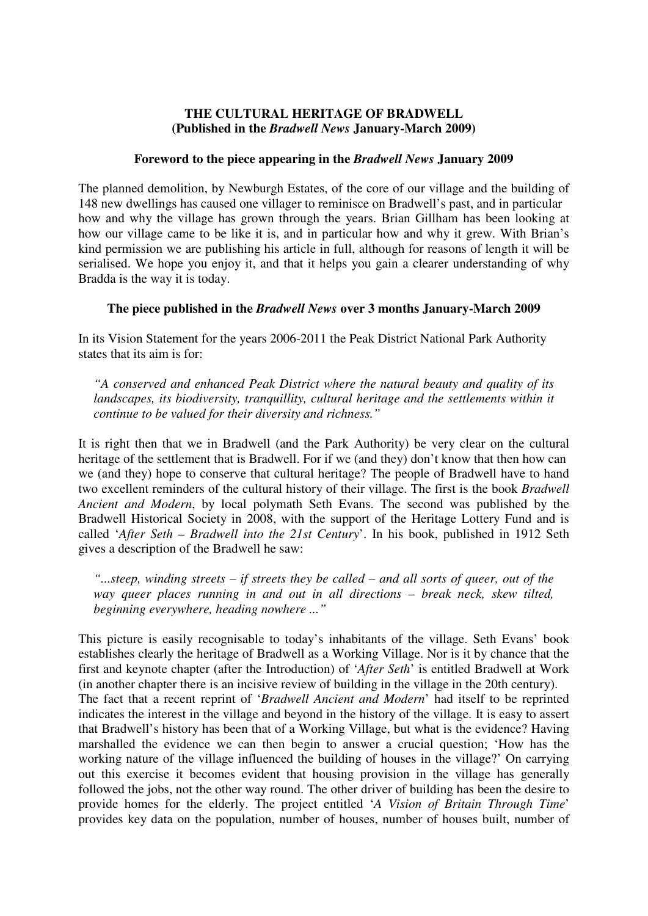## **THE CULTURAL HERITAGE OF BRADWELL (Published in the** *Bradwell News* **January-March 2009)**

## **Foreword to the piece appearing in the** *Bradwell News* **January 2009**

The planned demolition, by Newburgh Estates, of the core of our village and the building of 148 new dwellings has caused one villager to reminisce on Bradwell's past, and in particular how and why the village has grown through the years. Brian Gillham has been looking at how our village came to be like it is, and in particular how and why it grew. With Brian's kind permission we are publishing his article in full, although for reasons of length it will be serialised. We hope you enjoy it, and that it helps you gain a clearer understanding of why Bradda is the way it is today.

## **The piece published in the** *Bradwell News* **over 3 months January-March 2009**

In its Vision Statement for the years 2006-2011 the Peak District National Park Authority states that its aim is for:

*"A conserved and enhanced Peak District where the natural beauty and quality of its landscapes, its biodiversity, tranquillity, cultural heritage and the settlements within it continue to be valued for their diversity and richness."* 

It is right then that we in Bradwell (and the Park Authority) be very clear on the cultural heritage of the settlement that is Bradwell. For if we (and they) don't know that then how can we (and they) hope to conserve that cultural heritage? The people of Bradwell have to hand two excellent reminders of the cultural history of their village. The first is the book *Bradwell Ancient and Modern*, by local polymath Seth Evans. The second was published by the Bradwell Historical Society in 2008, with the support of the Heritage Lottery Fund and is called '*After Seth – Bradwell into the 21st Century*'. In his book, published in 1912 Seth gives a description of the Bradwell he saw:

*"...steep, winding streets – if streets they be called – and all sorts of queer, out of the way queer places running in and out in all directions – break neck, skew tilted, beginning everywhere, heading nowhere ..."* 

This picture is easily recognisable to today's inhabitants of the village. Seth Evans' book establishes clearly the heritage of Bradwell as a Working Village. Nor is it by chance that the first and keynote chapter (after the Introduction) of '*After Seth*' is entitled Bradwell at Work (in another chapter there is an incisive review of building in the village in the 20th century). The fact that a recent reprint of '*Bradwell Ancient and Modern*' had itself to be reprinted indicates the interest in the village and beyond in the history of the village. It is easy to assert that Bradwell's history has been that of a Working Village, but what is the evidence? Having marshalled the evidence we can then begin to answer a crucial question; 'How has the working nature of the village influenced the building of houses in the village?' On carrying out this exercise it becomes evident that housing provision in the village has generally followed the jobs, not the other way round. The other driver of building has been the desire to provide homes for the elderly. The project entitled '*A Vision of Britain Through Time*' provides key data on the population, number of houses, number of houses built, number of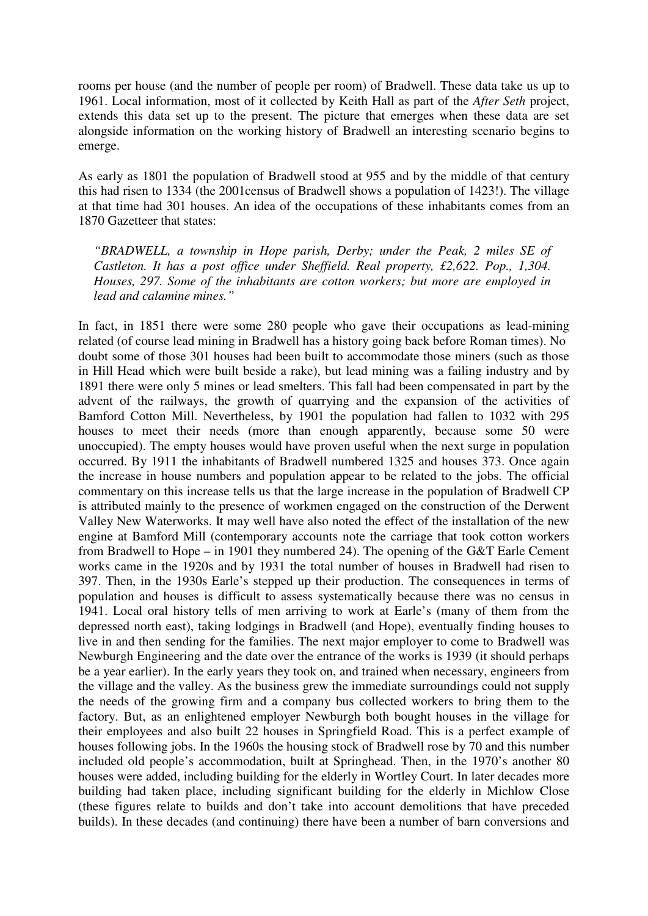rooms per house (and the number of people per room) of Bradwell. These data take us up to 1961. Local information, most of it collected by Keith Hall as part of the *After Seth* project, extends this data set up to the present. The picture that emerges when these data are set alongside information on the working history of Bradwell an interesting scenario begins to emerge.

As early as 1801 the population of Bradwell stood at 955 and by the middle of that century this had risen to 1334 (the 2001census of Bradwell shows a population of 1423!). The village at that time had 301 houses. An idea of the occupations of these inhabitants comes from an 1870 Gazetteer that states:

*"BRADWELL, a township in Hope parish, Derby; under the Peak, 2 miles SE of Castleton. It has a post office under Sheffield. Real property, £2,622. Pop., 1,304. Houses, 297. Some of the inhabitants are cotton workers; but more are employed in lead and calamine mines."* 

In fact, in 1851 there were some 280 people who gave their occupations as lead-mining related (of course lead mining in Bradwell has a history going back before Roman times). No doubt some of those 301 houses had been built to accommodate those miners (such as those in Hill Head which were built beside a rake), but lead mining was a failing industry and by 1891 there were only 5 mines or lead smelters. This fall had been compensated in part by the advent of the railways, the growth of quarrying and the expansion of the activities of Bamford Cotton Mill. Nevertheless, by 1901 the population had fallen to 1032 with 295 houses to meet their needs (more than enough apparently, because some 50 were unoccupied). The empty houses would have proven useful when the next surge in population occurred. By 1911 the inhabitants of Bradwell numbered 1325 and houses 373. Once again the increase in house numbers and population appear to be related to the jobs. The official commentary on this increase tells us that the large increase in the population of Bradwell CP is attributed mainly to the presence of workmen engaged on the construction of the Derwent Valley New Waterworks. It may well have also noted the effect of the installation of the new engine at Bamford Mill (contemporary accounts note the carriage that took cotton workers from Bradwell to Hope – in 1901 they numbered 24). The opening of the G&T Earle Cement works came in the 1920s and by 1931 the total number of houses in Bradwell had risen to 397. Then, in the 1930s Earle's stepped up their production. The consequences in terms of population and houses is difficult to assess systematically because there was no census in 1941. Local oral history tells of men arriving to work at Earle's (many of them from the depressed north east), taking lodgings in Bradwell (and Hope), eventually finding houses to live in and then sending for the families. The next major employer to come to Bradwell was Newburgh Engineering and the date over the entrance of the works is 1939 (it should perhaps be a year earlier). In the early years they took on, and trained when necessary, engineers from the village and the valley. As the business grew the immediate surroundings could not supply the needs of the growing firm and a company bus collected workers to bring them to the factory. But, as an enlightened employer Newburgh both bought houses in the village for their employees and also built 22 houses in Springfield Road. This is a perfect example of houses following jobs. In the 1960s the housing stock of Bradwell rose by 70 and this number included old people's accommodation, built at Springhead. Then, in the 1970's another 80 houses were added, including building for the elderly in Wortley Court. In later decades more building had taken place, including significant building for the elderly in Michlow Close (these figures relate to builds and don't take into account demolitions that have preceded builds). In these decades (and continuing) there have been a number of barn conversions and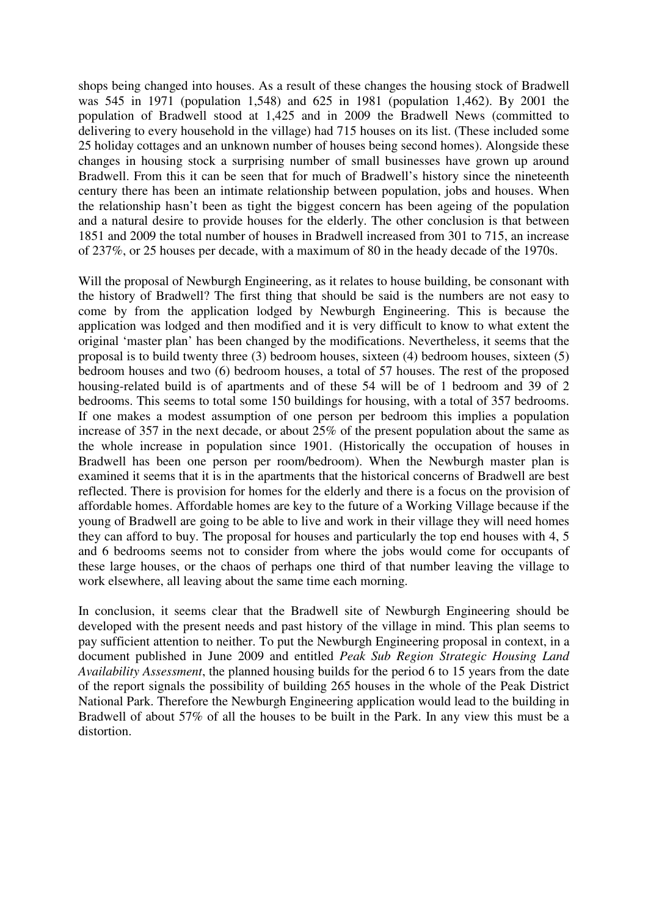shops being changed into houses. As a result of these changes the housing stock of Bradwell was 545 in 1971 (population 1,548) and 625 in 1981 (population 1,462). By 2001 the population of Bradwell stood at 1,425 and in 2009 the Bradwell News (committed to delivering to every household in the village) had 715 houses on its list. (These included some 25 holiday cottages and an unknown number of houses being second homes). Alongside these changes in housing stock a surprising number of small businesses have grown up around Bradwell. From this it can be seen that for much of Bradwell's history since the nineteenth century there has been an intimate relationship between population, jobs and houses. When the relationship hasn't been as tight the biggest concern has been ageing of the population and a natural desire to provide houses for the elderly. The other conclusion is that between 1851 and 2009 the total number of houses in Bradwell increased from 301 to 715, an increase of 237%, or 25 houses per decade, with a maximum of 80 in the heady decade of the 1970s.

Will the proposal of Newburgh Engineering, as it relates to house building, be consonant with the history of Bradwell? The first thing that should be said is the numbers are not easy to come by from the application lodged by Newburgh Engineering. This is because the application was lodged and then modified and it is very difficult to know to what extent the original 'master plan' has been changed by the modifications. Nevertheless, it seems that the proposal is to build twenty three (3) bedroom houses, sixteen (4) bedroom houses, sixteen (5) bedroom houses and two (6) bedroom houses, a total of 57 houses. The rest of the proposed housing-related build is of apartments and of these 54 will be of 1 bedroom and 39 of 2 bedrooms. This seems to total some 150 buildings for housing, with a total of 357 bedrooms. If one makes a modest assumption of one person per bedroom this implies a population increase of 357 in the next decade, or about 25% of the present population about the same as the whole increase in population since 1901. (Historically the occupation of houses in Bradwell has been one person per room/bedroom). When the Newburgh master plan is examined it seems that it is in the apartments that the historical concerns of Bradwell are best reflected. There is provision for homes for the elderly and there is a focus on the provision of affordable homes. Affordable homes are key to the future of a Working Village because if the young of Bradwell are going to be able to live and work in their village they will need homes they can afford to buy. The proposal for houses and particularly the top end houses with 4, 5 and 6 bedrooms seems not to consider from where the jobs would come for occupants of these large houses, or the chaos of perhaps one third of that number leaving the village to work elsewhere, all leaving about the same time each morning.

In conclusion, it seems clear that the Bradwell site of Newburgh Engineering should be developed with the present needs and past history of the village in mind. This plan seems to pay sufficient attention to neither. To put the Newburgh Engineering proposal in context, in a document published in June 2009 and entitled *Peak Sub Region Strategic Housing Land Availability Assessment*, the planned housing builds for the period 6 to 15 years from the date of the report signals the possibility of building 265 houses in the whole of the Peak District National Park. Therefore the Newburgh Engineering application would lead to the building in Bradwell of about 57% of all the houses to be built in the Park. In any view this must be a distortion.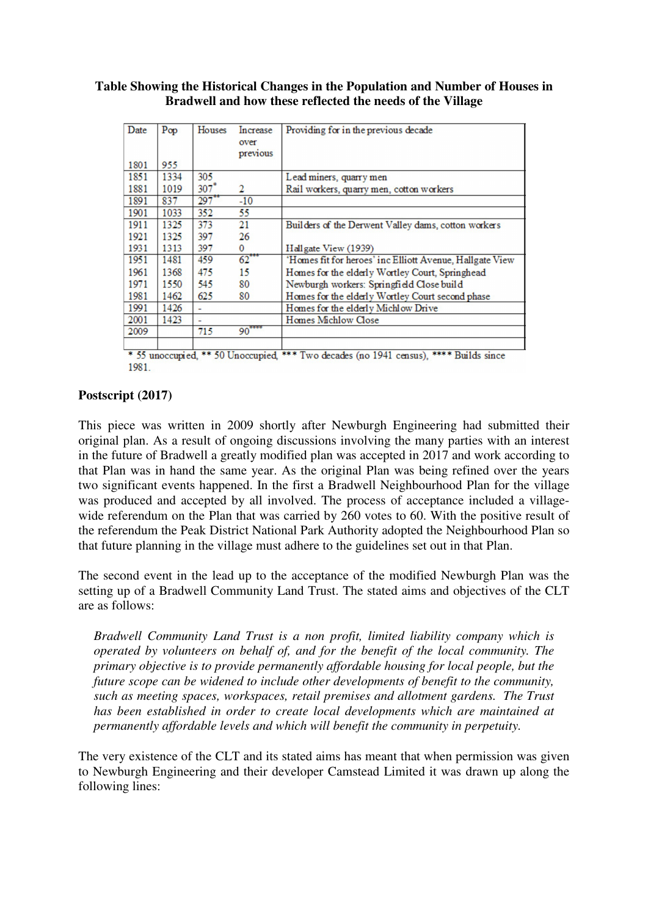| Table Showing the Historical Changes in the Population and Number of Houses in |
|--------------------------------------------------------------------------------|
| Bradwell and how these reflected the needs of the Village                      |

| Date | Pop  | Houses                   | Increase<br>over<br>previous | Providing for in the previous decade                     |
|------|------|--------------------------|------------------------------|----------------------------------------------------------|
| 1801 | 955  |                          |                              |                                                          |
| 1851 | 1334 | 305                      |                              | Lead miners, quarry men                                  |
| 1881 | 1019 | $307*$                   | 2                            | Rail workers, quarry men, cotton workers                 |
| 1891 | 837  | $297$ <sup>**</sup>      | $-10$                        |                                                          |
| 1901 | 1033 | 352                      | 55                           |                                                          |
| 1911 | 1325 | 373                      | 21                           | Builders of the Derwent Valley dams, cotton workers      |
| 1921 | 1325 | 397                      | 26                           |                                                          |
| 1931 | 1313 | 397                      | 0                            | Hallgate View (1939)                                     |
| 1951 | 1481 | 459                      | $62^{***}$                   | 'Homes fit for heroes' inc Elliott Avenue, Hallgate View |
| 1961 | 1368 | 475                      | 15                           | Homes for the elderly Wortley Court, Springhead          |
| 1971 | 1550 | 545                      | 80                           | Newburgh workers: Springfield Close build                |
| 1981 | 1462 | 625                      | 80                           | Homes for the elderly Wortley Court second phase         |
| 1991 | 1426 | $\overline{\phantom{0}}$ |                              | Homes for the elderly Michlow Drive                      |
| 2001 | 1423 |                          |                              | Homes Michlow Close                                      |
| 2009 |      | 715                      | 90                           |                                                          |
|      |      |                          |                              |                                                          |

\* 55 unoccupied, \*\* 50 Unoccupied, \*\*\* Two decades (no 1941 census), \*\*\*\* Builds since 1981.

## **Postscript (2017)**

This piece was written in 2009 shortly after Newburgh Engineering had submitted their original plan. As a result of ongoing discussions involving the many parties with an interest in the future of Bradwell a greatly modified plan was accepted in 2017 and work according to that Plan was in hand the same year. As the original Plan was being refined over the years two significant events happened. In the first a Bradwell Neighbourhood Plan for the village was produced and accepted by all involved. The process of acceptance included a villagewide referendum on the Plan that was carried by 260 votes to 60. With the positive result of the referendum the Peak District National Park Authority adopted the Neighbourhood Plan so that future planning in the village must adhere to the guidelines set out in that Plan.

The second event in the lead up to the acceptance of the modified Newburgh Plan was the setting up of a Bradwell Community Land Trust. The stated aims and objectives of the CLT are as follows:

*Bradwell Community Land Trust is a non profit, limited liability company which is operated by volunteers on behalf of, and for the benefit of the local community. The primary objective is to provide permanently affordable housing for local people, but the future scope can be widened to include other developments of benefit to the community, such as meeting spaces, workspaces, retail premises and allotment gardens. The Trust has been established in order to create local developments which are maintained at permanently affordable levels and which will benefit the community in perpetuity.* 

The very existence of the CLT and its stated aims has meant that when permission was given to Newburgh Engineering and their developer Camstead Limited it was drawn up along the following lines: